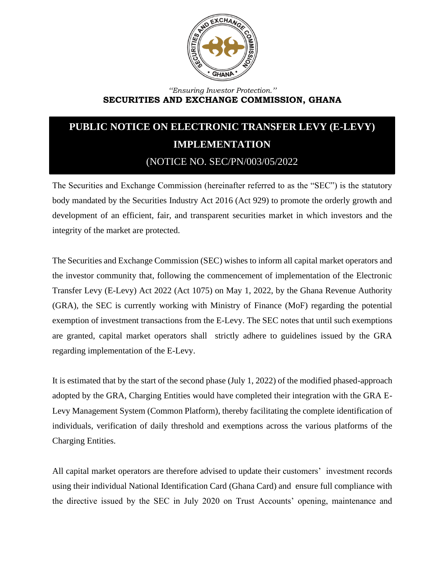

## *''Ensuring Investor Protection.''* **SECURITIES AND EXCHANGE COMMISSION, GHANA**

## **PUBLIC NOTICE ON ELECTRONIC TRANSFER LEVY (E-LEVY) IMPLEMENTATION** (NOTICE NO. SEC/PN/003/05/2022

The Securities and Exchange Commission (hereinafter referred to as the "SEC") is the statutory body mandated by the Securities Industry Act 2016 (Act 929) to promote the orderly growth and development of an efficient, fair, and transparent securities market in which investors and the integrity of the market are protected.

The Securities and Exchange Commission (SEC) wishes to inform all capital market operators and the investor community that, following the commencement of implementation of the Electronic Transfer Levy (E-Levy) Act 2022 (Act 1075) on May 1, 2022, by the Ghana Revenue Authority (GRA), the SEC is currently working with Ministry of Finance (MoF) regarding the potential exemption of investment transactions from the E-Levy. The SEC notes that until such exemptions are granted, capital market operators shall strictly adhere to guidelines issued by the GRA regarding implementation of the E-Levy.

It is estimated that by the start of the second phase (July 1, 2022) of the modified phased-approach adopted by the GRA, Charging Entities would have completed their integration with the GRA E-Levy Management System (Common Platform), thereby facilitating the complete identification of individuals, verification of daily threshold and exemptions across the various platforms of the Charging Entities.

All capital market operators are therefore advised to update their customers' investment records using their individual National Identification Card (Ghana Card) and ensure full compliance with the directive issued by the SEC in July 2020 on Trust Accounts' opening, maintenance and